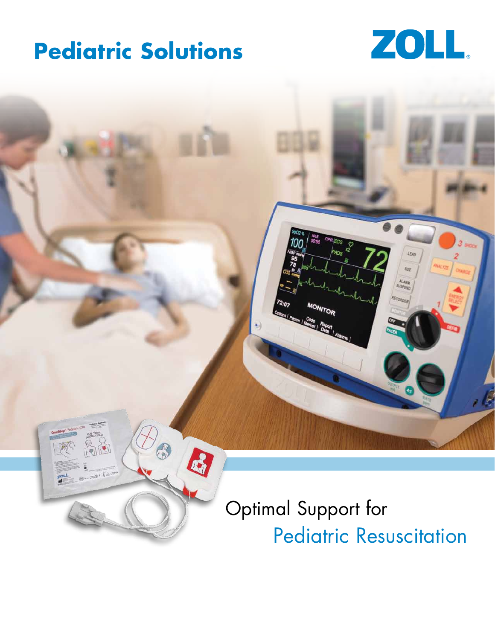## **Pediatric Solutions**



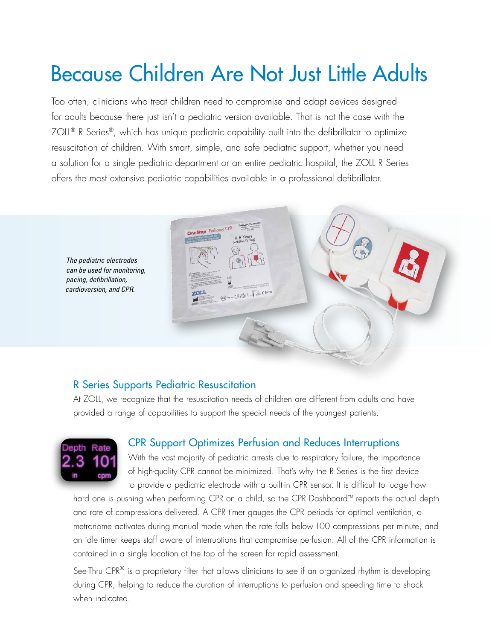# Because Children Are Not Just Little Adults

Too often, clinicians who treat children need to compromise and adapt devices designed for adults because there just isn't a pediatric version available. That is not the case with the ZOLL<sup>®</sup> R Series<sup>®</sup>, which has unique pediatric capability built into the defibrillator to optimize resuscitation of children. With smart, simple, and safe pediatric support, whether you need a solution for a single pediatric department or an entire pediatric hospital, the ZOLL R Series offers the most extensive pediatric capabilities available in a professional defibrillator.



#### R Series Supports Pediatric Resuscitation

At ZOLL, we recognize that the resuscitation needs of children are different from adults and have provided a range of capabilities to support the special needs of the youngest patients.



#### CPR Support Optimizes Perfusion and Reduces Interruptions

With the vast majority of pediatric arrests due to respiratory failure, the importance of high-quality CPR cannot be minimized. That's why the R Series is the first device to provide a pediatric electrode with a built-in CPR sensor. It is difficult to judge how

hard one is pushing when performing CPR on a child, so the CPR Dashboard™ reports the actual depth and rate of compressions delivered. A CPR timer gauges the CPR periods for optimal ventilation, a metronome activates during manual mode when the rate falls below 100 compressions per minute, and an idle timer keeps staff aware of interruptions that compromise perfusion. All of the CPR information is contained in a single location at the top of the screen for rapid assessment.

See-Thru CPR<sup>®</sup> is a proprietary filter that allows clinicians to see if an organized rhythm is developing during CPR, helping to reduce the duration of interruptions to perfusion and speeding time to shock when indicated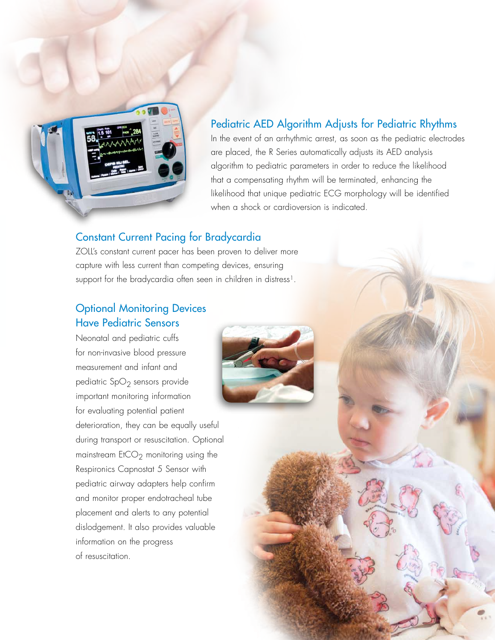

#### Pediatric AED Algorithm Adjusts for Pediatric Rhythms

In the event of an arrhythmic arrest, as soon as the pediatric electrodes are placed, the R Series automatically adjusts its AED analysis algorithm to pediatric parameters in order to reduce the likelihood that a compensating rhythm will be terminated, enhancing the likelihood that unique pediatric ECG morphology will be identified when a shock or cardioversion is indicated.

#### Constant Current Pacing for Bradycardia

ZOLL's constant current pacer has been proven to deliver more capture with less current than competing devices, ensuring support for the bradycardia often seen in children in distress<sup>1</sup>.

### Optional Monitoring Devices Have Pediatric Sensors

Neonatal and pediatric cuffs for non-invasive blood pressure measurement and infant and pediatric  $SpO<sub>2</sub>$  sensors provide important monitoring information for evaluating potential patient deterioration, they can be equally useful during transport or resuscitation. Optional mainstream  $E$ tCO<sub>2</sub> monitoring using the Respironics Capnostat 5 Sensor with pediatric airway adapters help confirm and monitor proper endotracheal tube placement and alerts to any potential dislodgement. It also provides valuable information on the progress of resuscitation.